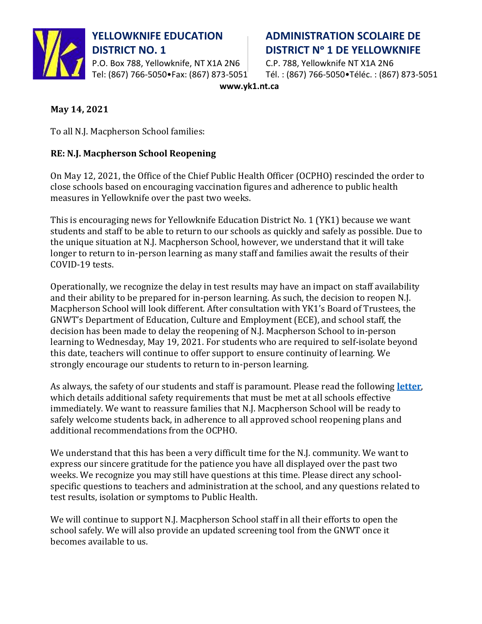

P.O. Box 788, Yellowknife, NT X1A 2N6 C.P. 788, Yellowknife NT X1A 2N6

## **YELLOWKNIFE EDUCATION ADMINISTRATION SCOLAIRE DE DISTRICT NO. 1 DISTRICT N° 1 DE YELLOWKNIFE**

Tel: (867) 766-5050•Fax: (867) 873-5051 $^+$  Tél. : (867) 766-5050•Téléc. : (867) 873-5051

**www.yk1.nt.ca**

## **May 14, 2021**

To all N.J. Macpherson School families:

## **RE: N.J. Macpherson School Reopening**

On May 12, 2021, the Office of the Chief Public Health Officer (OCPHO) rescinded the order to close schools based on encouraging vaccination figures and adherence to public health measures in Yellowknife over the past two weeks.

This is encouraging news for Yellowknife Education District No. 1 (YK1) because we want students and staff to be able to return to our schools as quickly and safely as possible. Due to the unique situation at N.J. Macpherson School, however, we understand that it will take longer to return to in-person learning as many staff and families await the results of their COVID-19 tests.

Operationally, we recognize the delay in test results may have an impact on staff availability and their ability to be prepared for in-person learning. As such, the decision to reopen N.J. Macpherson School will look different. After consultation with YK1's Board of Trustees, the GNWT's Department of Education, Culture and Employment (ECE), and school staff, the decision has been made to delay the reopening of N.J. Macpherson School to in-person learning to Wednesday, May 19, 2021. For students who are required to self-isolate beyond this date, teachers will continue to offer support to ensure continuity of learning. We strongly encourage our students to return to in-person learning.

As always, the safety of our students and staff is paramount. Please read the following **[letter](https://www.yk1.nt.ca/documents/general/COVID-19%20-%20Parent%20Letter%20-%20May%2012%202021.pdf)**, which details additional safety requirements that must be met at all schools effective immediately. We want to reassure families that N.J. Macpherson School will be ready to safely welcome students back, in adherence to all approved school reopening plans and additional recommendations from the OCPHO.

We understand that this has been a very difficult time for the N.J. community. We want to express our sincere gratitude for the patience you have all displayed over the past two weeks. We recognize you may still have questions at this time. Please direct any schoolspecific questions to teachers and administration at the school, and any questions related to test results, isolation or symptoms to Public Health.

We will continue to support N.J. Macpherson School staff in all their efforts to open the school safely. We will also provide an updated screening tool from the GNWT once it becomes available to us.